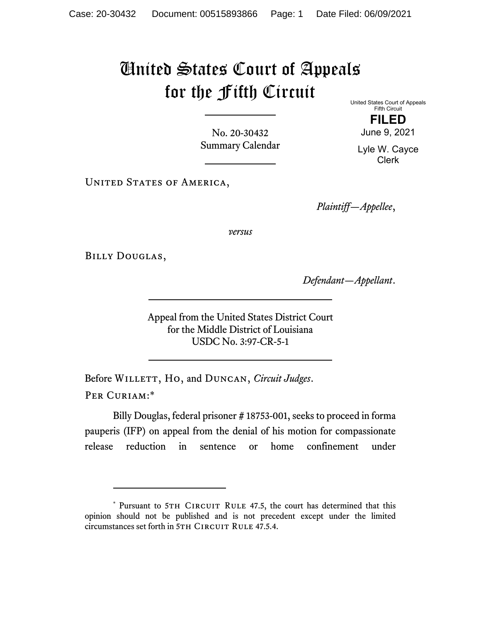## United States Court of Appeals for the Fifth Circuit

No. 20-30432 Summary Calendar United States Court of Appeals Fifth Circuit **FILED**  June 9, 2021

Lyle W. Cayce Clerk

UNITED STATES OF AMERICA,

*Plaintiff—Appellee*,

*versus*

Billy Douglas,

*Defendant—Appellant*.

Appeal from the United States District Court for the Middle District of Louisiana USDC No. 3:97-CR-5-1

Before WILLETT, Ho, and DUNCAN, *Circuit Judges*. Per Curiam:\*

Billy Douglas, federal prisoner # 18753-001, seeks to proceed in forma pauperis (IFP) on appeal from the denial of his motion for compassionate release reduction in sentence or home confinement under

<sup>\*</sup> Pursuant to 5TH CIRCUIT RULE 47.5, the court has determined that this opinion should not be published and is not precedent except under the limited circumstances set forth in 5TH CIRCUIT RULE 47.5.4.